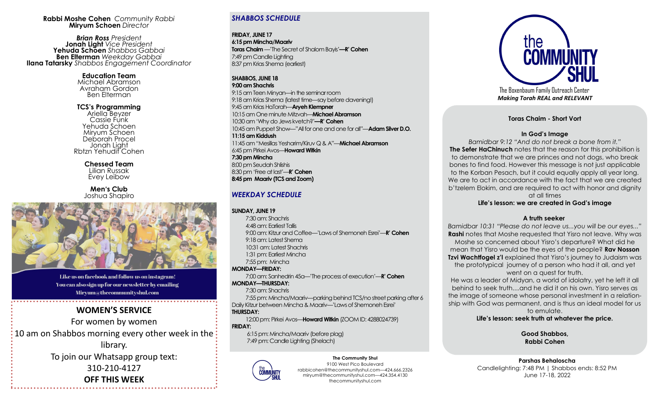#### **Rabbi Moshe Cohen** *Community Rabbi*  **Miryum Schoen** *Director*

*Brian Ross President* **Jonah Light** *Vice President*  **Yehuda Schoen** *Shabbos Gabbai* **Ben Elterman** *Weekday Gabbai* **Ilana Tatarsky** *Shabbos Engagement Coordinator* 

> **Education Team** Michael Abramson Avraham Gordon Ben Elterman

**TCS's Programming**  Ariella Beyzer Cassie Funk Yehuda Schoen Miryum Schoen Deborah Procel Jonah Light Rbtzn Yehudit Cohen

> **Chessed Team** Lilian Russak Evey Leibow

**Men's Club** Joshua Shapiro



Like us on facebook and follow us on instagram! You can also sign up for our newsletter by emailing Miryum@thecommunityshul.com

# **WOMEN'S SERVICE**  For women by women 10 am on Shabbos morning every other week in the: library. To join our Whatsapp group text: 310-210-4127

**OFF THIS WEEK**

#### *SHABBOS SCHEDULE*

**FRIDAY, JUNE 17 6:15 pm Mincha/Maariv Toras Chaim** —'The Secret of Shalom Bayis'**—R' Cohen**  7:49 pm Candle Lighting 8:37 pm Krias Shema (earliest)

#### **SHABBOS, JUNE 18**

**9:00 am Shachris** 

9:15 am Teen Minyan—in the seminar room 9:18 am Krias Shema (latest time—say before davening!) 9:45 am Krias HaTorah—**Aryeh Klempner** 10:15 am One minute Mitzvah—**Michael Abramson** 10:30 am 'Why do Jews kvetch?'**—R' Cohen** 10:45 am Puppet Show—"All for one and one for all"—**Adam Silver D.O. 11:15 am Kiddush** 11:45 am "Mesillas Yesharim/Kiruv Q & A"—**Michael Abramson** 6:45 pm Pirkei Avos—**Howard Witkin 7:30 pm Mincha** 8:00 pm Seudah Shlishis 8:30 pm 'Free at last'—**R' Cohen 8:45 pm Maariv (TCS and Zoom)** 

#### *WEEKDAY SCHEDULE*

#### **SUNDAY, JUNE 19**

 7:30 am: Shachris 4:48 am: Earliest Tallis 9:00 am: Kitzur and Coffee—'Laws of Shemoneh Esrei'—**R' Cohen** 9:18 am: Latest Shema 10:31 am: Latest Shachris 1:31 pm: Earliest Mincha 7:55 pm: Mincha **MONDAY—FRIDAY:**  7:00 am: Sanhedrin 45a—'The process of execution'—**R' Cohen MONDAY—THURSDAY:**  7:30 am: Shachris 7:55 pm: Mincha/Maariv—parking behind TCS/no street parking after 6 Daily Kitzur between Mincha & Maariv—'Laws of Shemoneh Esrei' **THURSDAY:** 

 12:00 pm: Pirkei Avos—**Howard Witkin** (ZOOM ID: 4288024739) **FRIDAY:**

 6:15 pm: Mincha/Maariv (before plag) 7:49 pm: Candle Lighting (Shelach)



**The Community Shul** 9100 West Pico Boulevard rabbicohen@thecommunityshul.com—424.666.2326 miryum@thecommunityshul.com—424.354.4130 thecommunityshul.com



The Boxenbaum Family Outreach Center *Making Torah REAL and RELEVANT*

**Toras Chaim - Short Vort** 

#### **In God's Image**

*Bamidbar 9:12 "And do not break a bone from it."* **The Sefer HaChinuch** notes that the reason for this prohibition is to demonstrate that we are princes and not dogs, who break bones to find food. However this message is not just applicable to the Korban Pesach, but it could equally apply all year long. We are to act in accordance with the fact that we are created b'tzelem Elokim, and are required to act with honor and dignity at all times

#### **Life's lesson: we are created in God's image**

#### **A truth seeker**

*Bamidbar 10:31 "Please do not leave us...you will be our eyes..."* **Rashi** notes that Moshe requested that Yisro not leave. Why was Moshe so concerned about Yisro's departure? What did he mean that Yisro would be the eyes of the people? **Rav Nosson Tzvi Wachtfogel z'l** explained that Yisro's journey to Judaism was the prototypical journey of a person who had it all, and yet went on a quest for truth.

He was a leader of Midyan, a world of idolatry, yet he left it all behind to seek truth....and he did it on his own. Yisro serves as the image of someone whose personal investment in a relationship with God was permanent, and is thus an ideal model for us to emulate.

**Life's lesson: seek truth at whatever the price.**

**Good Shabbos, Rabbi Cohen**

**Parshas Behaloscha** Candlelighting: 7:48 PM | Shabbos ends: 8:52 PM June 17-18, 2022